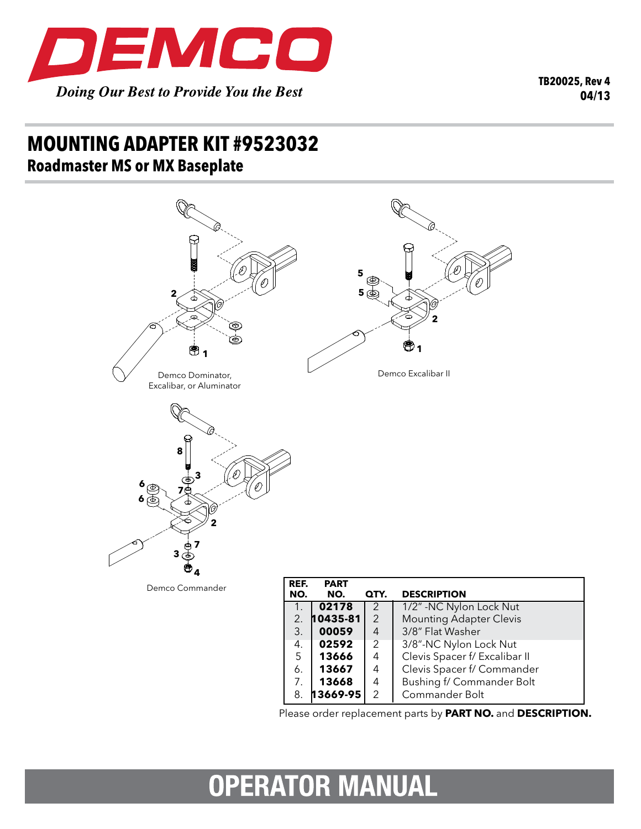

**TB20025, Rev 4 04/13**

## **mounting adapter kit #9523032 Roadmaster MS or MX Baseplate**



|    | 02592        |               | 3/8"-NC Nylon Lock Nut        |
|----|--------------|---------------|-------------------------------|
| 5  | 13666        | 4             | Clevis Spacer f/ Excalibar II |
| 6. | 13667        | 4             | Clevis Spacer f/ Commander    |
|    | 13668        | 4             | Bushing f/ Commander Bolt     |
| 8. | $13669 - 95$ | $\mathcal{P}$ | Commander Bolt                |

## **OPERATOR MANUAL**